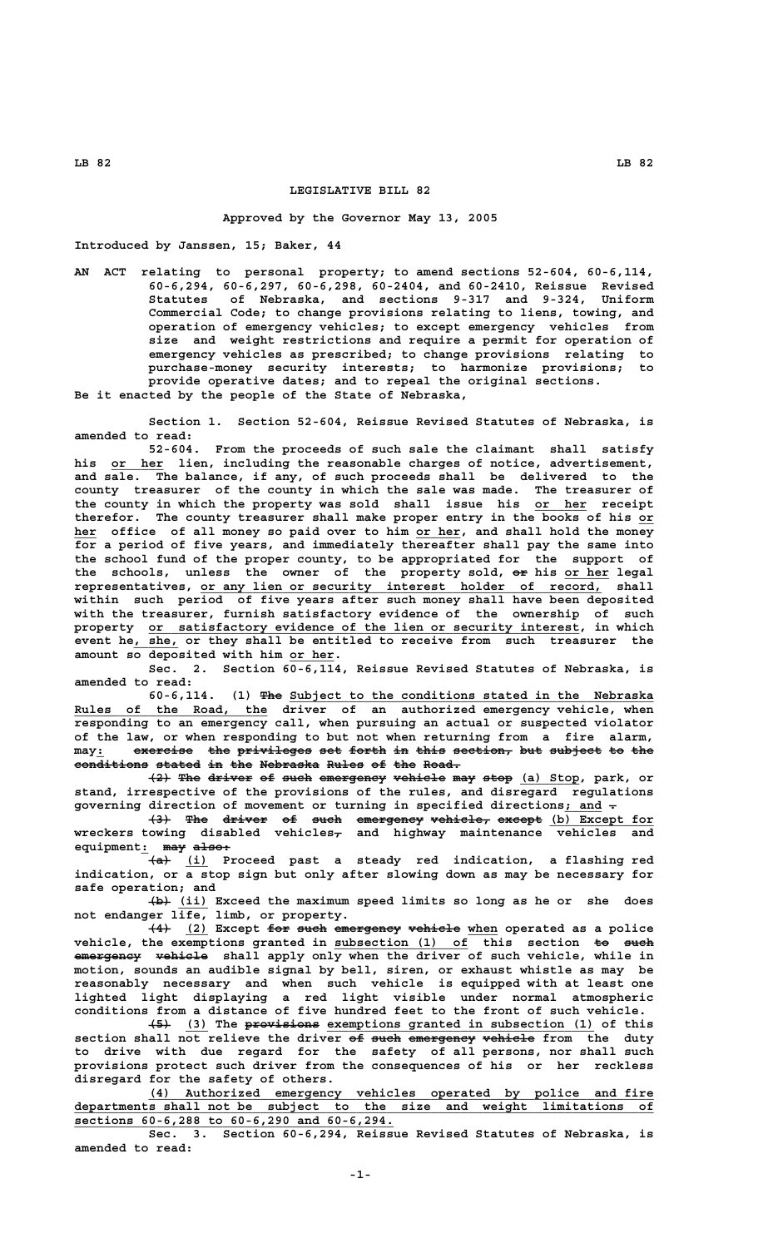## **LEGISLATIVE BILL 82**

## **Approved by the Governor May 13, 2005**

**Introduced by Janssen, 15; Baker, 44**

**AN ACT relating to personal property; to amend sections 52-604, 60-6,114, 60-6,294, 60-6,297, 60-6,298, 60-2404, and 60-2410, Reissue Revised Statutes of Nebraska, and sections 9-317 and 9-324, Uniform Commercial Code; to change provisions relating to liens, towing, and operation of emergency vehicles; to except emergency vehicles from size and weight restrictions and require a permit for operation of emergency vehicles as prescribed; to change provisions relating to purchase-money security interests; to harmonize provisions; to provide operative dates; and to repeal the original sections. Be it enacted by the people of the State of Nebraska,**

**Section 1. Section 52-604, Reissue Revised Statutes of Nebraska, is amended to read:**

**52-604. From the proceeds of such sale the claimant shall satisfy** his <u>or her</u> lien, including the reasonable charges of notice, advertisement, **and sale. The balance, if any, of such proceeds shall be delivered to the county treasurer of the county in which the sale was made. The treasurer of the county in which the property was sold shall issue his or her receipt \_\_\_\_\_\_\_ therefor. The county treasurer shall make proper entry in the books of his or\_\_** her office of all money so paid over to him or her, and shall hold the money **for a period of five years, and immediately thereafter shall pay the same into the school fund of the proper county, to be appropriated for the support of** the schools, unless the owner of the property sold,  $e^{2}$  his or her legal  **\_\_\_\_\_\_\_\_\_\_\_\_\_\_\_\_\_\_\_\_\_\_\_\_\_\_\_\_\_\_\_\_\_\_\_\_\_\_\_\_\_\_\_\_\_\_\_\_\_\_\_\_\_\_ representatives, or any lien or security interest holder of record, shall within such period of five years after such money shall have been deposited with the treasurer, furnish satisfactory evidence of the ownership of such \_\_\_\_\_\_\_\_\_\_\_\_\_\_\_\_\_\_\_\_\_\_\_\_\_\_\_\_\_\_\_\_\_\_\_\_\_\_\_\_\_\_\_\_\_\_\_\_\_\_\_\_\_\_\_\_\_\_ property or satisfactory evidence of the lien or security interest, in which event he, she, or they shall be entitled to receive from such treasurer the** amount so deposited with him or her.

> **Sec. 2. Section 60-6,114, Reissue Revised Statutes of Nebraska, is amended to read:**

> **——— \_\_\_\_\_\_\_\_\_\_\_\_\_\_\_\_\_\_\_\_\_\_\_\_\_\_\_\_\_\_\_\_\_\_\_\_\_\_\_\_\_\_\_\_\_\_\_\_\_ 60-6,114. (1) The Subject to the conditions stated in the Nebraska** Rules of the Road, the driver of an authorized emergency vehicle, when **responding to an emergency call, when pursuing an actual or suspected violator of the law, or when responding to but not when returning from a fire alarm,** may<sub>:</sub> exercise the privileges set forth in this section, but subject to the conditions stated in the Nebraska Rules of the Road.

> **(2) The driver of such emergency vehicle may stop (a) Stop, park, or stand, irrespective of the provisions of the rules, and disregard regulations** governing direction of movement or turning in specified directions; and  $\div$

 $\overline{43}$  The driver of such emergency vehicle, except (b) Except for  **— wreckers towing disabled vehicles, and highway maintenance vehicles and** equipment<sub>: may also:</sub>

 **——— \_\_\_ (a) (i) Proceed past a steady red indication, a flashing red indication, or a stop sign but only after slowing down as may be necessary for safe operation; and**

 **——— \_\_\_\_ (b) (ii) Exceed the maximum speed limits so long as he or she does not endanger life, limb, or property.**

**(4)** (2) Except for such emergency vehicle when operated as a police  **\_\_\_\_\_\_\_\_\_\_\_\_\_\_\_\_\_\_ —— ———— vehicle, the exemptions granted in subsection (1) of this section to such emergency** vehicle shall apply only when the driver of such vehicle, while in **motion, sounds an audible signal by bell, siren, or exhaust whistle as may be reasonably necessary and when such vehicle is equipped with at least one lighted light displaying a red light visible under normal atmospheric conditions from a distance of five hundred feet to the front of such vehicle.**

 $\overline{(3)}$  The provisions exemptions granted in subsection (1) of this section shall not relieve the driver  $\Theta$  such emergency vehicle from the duty **to drive with due regard for the safety of all persons, nor shall such provisions protect such driver from the consequences of his or her reckless disregard for the safety of others.**

 **\_\_\_\_\_\_\_\_\_\_\_\_\_\_\_\_\_\_\_\_\_\_\_\_\_\_\_\_\_\_\_\_\_\_\_\_\_\_\_\_\_\_\_\_\_\_\_\_\_\_\_\_\_\_\_\_\_\_\_\_\_\_\_\_\_\_\_\_ (4) Authorized emergency vehicles operated by police and fire \_\_\_\_\_\_\_\_\_\_\_\_\_\_\_\_\_\_\_\_\_\_\_\_\_\_\_\_\_\_\_\_\_\_\_\_\_\_\_\_\_\_\_\_\_\_\_\_\_\_\_\_\_\_\_\_\_\_\_\_\_\_\_\_\_\_\_\_\_\_\_\_\_\_\_\_\_\_ departments shall not be subject to the size and weight limitations of \_\_\_\_\_\_\_\_\_\_\_\_\_\_\_\_\_\_\_\_\_\_\_\_\_\_\_\_\_\_\_\_\_\_\_\_\_\_\_\_\_\_\_ sections 60-6,288 to 60-6,290 and 60-6,294.**

> **Sec. 3. Section 60-6,294, Reissue Revised Statutes of Nebraska, is amended to read:**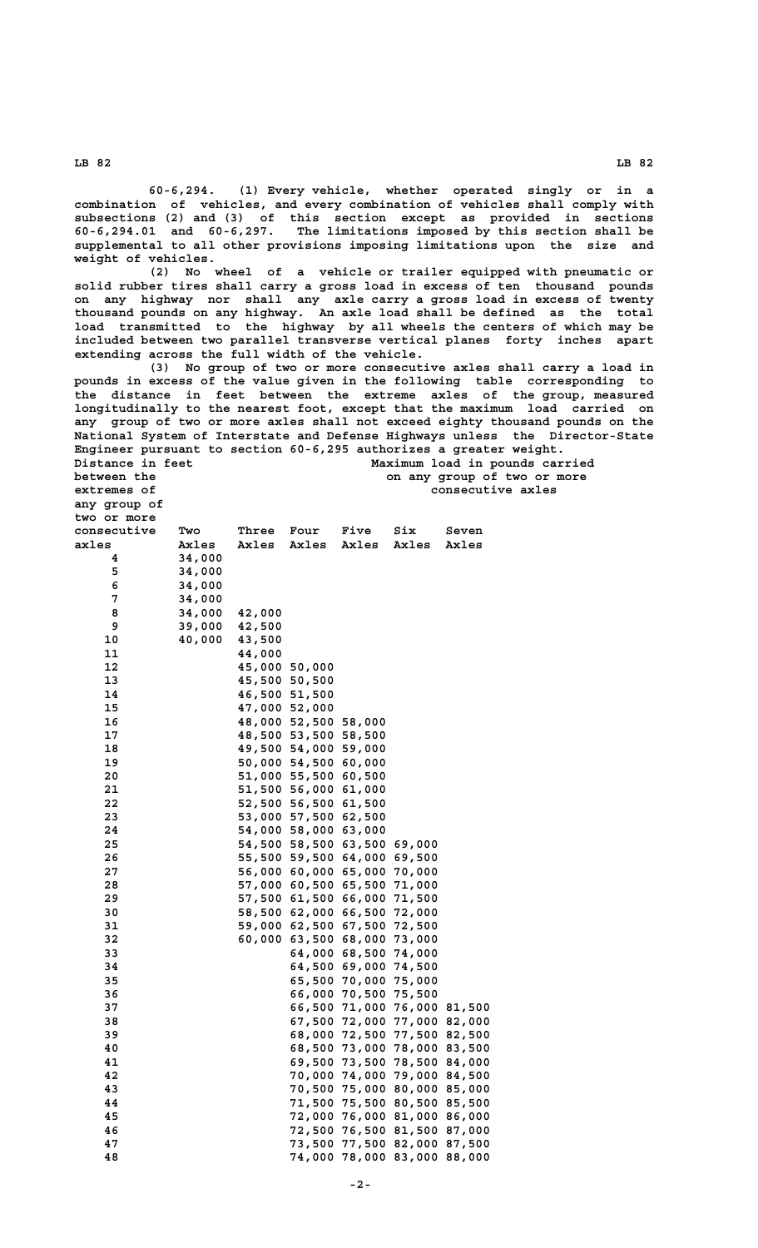**60-6,294. (1) Every vehicle, whether operated singly or in a combination of vehicles, and every combination of vehicles shall comply with subsections (2) and (3) of this section except as provided in sections 60-6,294.01 and 60-6,297. The limitations imposed by this section shall be supplemental to all other provisions imposing limitations upon the size and weight of vehicles.**

**(2) No wheel of a vehicle or trailer equipped with pneumatic or solid rubber tires shall carry a gross load in excess of ten thousand pounds on any highway nor shall any axle carry a gross load in excess of twenty thousand pounds on any highway. An axle load shall be defined as the total load transmitted to the highway by all wheels the centers of which may be included between two parallel transverse vertical planes forty inches apart extending across the full width of the vehicle.**

**(3) No group of two or more consecutive axles shall carry a load in pounds in excess of the value given in the following table corresponding to the distance in feet between the extreme axles of the group, measured longitudinally to the nearest foot, except that the maximum load carried on any group of two or more axles shall not exceed eighty thousand pounds on the National System of Interstate and Defense Highways unless the Director-State Engineer pursuant to section 60-6,295 authorizes a greater weight. Distance in feet Maximum load in pounds carried**

**between the on any group of two or more extremes of consecutive axles**

| any group of |  |  |
|--------------|--|--|
|              |  |  |

| two or more |        |        |                      |                             |       |       |
|-------------|--------|--------|----------------------|-----------------------------|-------|-------|
| consecutive | Two    | Three  | Four                 | Five                        | Six   | Seven |
| axles       | Axles  | Axles  | Axles                | Axles                       | Axles | Axles |
| 4           | 34,000 |        |                      |                             |       |       |
| 5           | 34,000 |        |                      |                             |       |       |
| 6           | 34,000 |        |                      |                             |       |       |
| 7           | 34,000 |        |                      |                             |       |       |
| 8           | 34,000 | 42,000 |                      |                             |       |       |
| 9           | 39,000 | 42,500 |                      |                             |       |       |
| 10          | 40,000 | 43,500 |                      |                             |       |       |
| 11          |        | 44,000 |                      |                             |       |       |
| 12          |        |        | 45,000 50,000        |                             |       |       |
| 13          |        |        | 45,500 50,500        |                             |       |       |
| 14          |        |        | 46,500 51,500        |                             |       |       |
| 15          |        |        | 47,000 52,000        |                             |       |       |
| 16          |        |        | 48,000 52,500 58,000 |                             |       |       |
| 17          |        |        | 48,500 53,500 58,500 |                             |       |       |
| 18          |        |        | 49,500 54,000 59,000 |                             |       |       |
| 19          |        |        | 50,000 54,500 60,000 |                             |       |       |
| 20          |        |        | 51,000 55,500 60,500 |                             |       |       |
| 21          |        |        | 51,500 56,000 61,000 |                             |       |       |
| 22          |        |        | 52,500 56,500 61,500 |                             |       |       |
| 23          |        |        | 53,000 57,500 62,500 |                             |       |       |
| 24          |        |        | 54,000 58,000 63,000 |                             |       |       |
| 25          |        |        |                      | 54,500 58,500 63,500 69,000 |       |       |
| 26          |        |        |                      | 55,500 59,500 64,000 69,500 |       |       |
| 27          |        |        |                      | 56,000 60,000 65,000 70,000 |       |       |
| 28          |        |        |                      | 57,000 60,500 65,500 71,000 |       |       |
| 29          |        |        |                      | 57,500 61,500 66,000 71,500 |       |       |
| 30          |        |        |                      | 58,500 62,000 66,500 72,000 |       |       |
| 31          |        |        |                      | 59,000 62,500 67,500 72,500 |       |       |
| 32          |        |        |                      | 60,000 63,500 68,000 73,000 |       |       |
| 33          |        |        |                      | 64,000 68,500 74,000        |       |       |
| 34          |        |        |                      | 64,500 69,000 74,500        |       |       |
| 35          |        |        |                      | 65,500 70,000 75,000        |       |       |
| 36          |        |        |                      | 66,000 70,500 75,500        |       |       |
| 37          |        |        |                      | 66,500 71,000 76,000 81,500 |       |       |
| 38          |        |        |                      | 67,500 72,000 77,000 82,000 |       |       |
| 39          |        |        |                      | 68,000 72,500 77,500 82,500 |       |       |
| 40          |        |        |                      | 68,500 73,000 78,000 83,500 |       |       |
| 41          |        |        |                      | 69,500 73,500 78,500 84,000 |       |       |
| 42          |        |        |                      | 70,000 74,000 79,000 84,500 |       |       |
| 43          |        |        |                      | 70,500 75,000 80,000 85,000 |       |       |
| 44          |        |        |                      | 71,500 75,500 80,500 85,500 |       |       |
| 45          |        |        |                      | 72,000 76,000 81,000 86,000 |       |       |
| 46          |        |        |                      | 72,500 76,500 81,500 87,000 |       |       |
| 47          |        |        |                      | 73,500 77,500 82,000 87,500 |       |       |
| 48          |        |        |                      | 74,000 78,000 83,000 88,000 |       |       |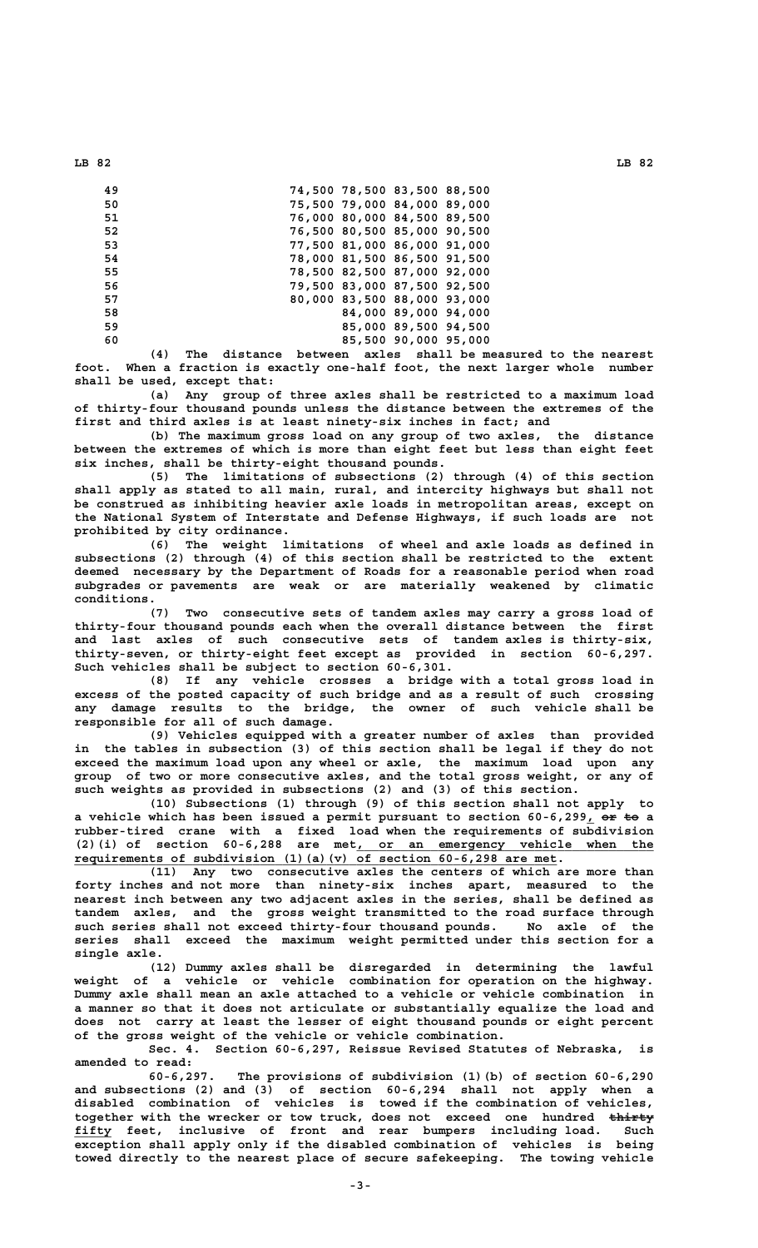| 49 | 74,500 78,500 83,500 88,500 |                      |  |
|----|-----------------------------|----------------------|--|
| 50 | 75,500 79,000 84,000 89,000 |                      |  |
| 51 | 76,000 80,000 84,500 89,500 |                      |  |
| 52 | 76,500 80,500 85,000 90,500 |                      |  |
| 53 | 77,500 81,000 86,000 91,000 |                      |  |
| 54 | 78,000 81,500 86,500 91,500 |                      |  |
| 55 | 78,500 82,500 87,000 92,000 |                      |  |
| 56 | 79,500 83,000 87,500 92,500 |                      |  |
| 57 | 80,000 83,500 88,000 93,000 |                      |  |
| 58 |                             | 84,000 89,000 94,000 |  |
| 59 |                             | 85,000 89,500 94,500 |  |
| 60 |                             | 85,500 90,000 95,000 |  |

**(4) The distance between axles shall be measured to the nearest foot. When a fraction is exactly one-half foot, the next larger whole number shall be used, except that:**

**(a) Any group of three axles shall be restricted to a maximum load of thirty-four thousand pounds unless the distance between the extremes of the first and third axles is at least ninety-six inches in fact; and**

**(b) The maximum gross load on any group of two axles, the distance between the extremes of which is more than eight feet but less than eight feet six inches, shall be thirty-eight thousand pounds.**

**(5) The limitations of subsections (2) through (4) of this section shall apply as stated to all main, rural, and intercity highways but shall not be construed as inhibiting heavier axle loads in metropolitan areas, except on the National System of Interstate and Defense Highways, if such loads are not prohibited by city ordinance.**

**(6) The weight limitations of wheel and axle loads as defined in subsections (2) through (4) of this section shall be restricted to the extent deemed necessary by the Department of Roads for a reasonable period when road subgrades or pavements are weak or are materially weakened by climatic conditions.**

**(7) Two consecutive sets of tandem axles may carry a gross load of thirty-four thousand pounds each when the overall distance between the first and last axles of such consecutive sets of tandem axles is thirty-six, thirty-seven, or thirty-eight feet except as provided in section 60-6,297. Such vehicles shall be subject to section 60-6,301.**

**(8) If any vehicle crosses a bridge with a total gross load in excess of the posted capacity of such bridge and as a result of such crossing any damage results to the bridge, the owner of such vehicle shall be responsible for all of such damage.**

**(9) Vehicles equipped with a greater number of axles than provided in the tables in subsection (3) of this section shall be legal if they do not exceed the maximum load upon any wheel or axle, the maximum load upon any group of two or more consecutive axles, and the total gross weight, or any of such weights as provided in subsections (2) and (3) of this section.**

**(10) Subsections (1) through (9) of this section shall not apply to a** vehicle which has been issued a permit pursuant to section 60-6,299<sub>L</sub> or to a **rubber-tired crane with a fixed load when the requirements of subdivision \_\_\_\_\_\_\_\_\_\_\_\_\_\_\_\_\_\_\_\_\_\_\_\_\_\_\_\_\_\_\_\_\_\_\_\_\_\_\_\_ (2)(i) of section 60-6,288 are met, or an emergency vehicle when the \_\_\_\_\_\_\_\_\_\_\_\_\_\_\_\_\_\_\_\_\_\_\_\_\_\_\_\_\_\_\_\_\_\_\_\_\_\_\_\_\_\_\_\_\_\_\_\_\_\_\_\_\_\_\_\_\_\_\_\_\_\_\_\_\_ requirements of subdivision (1)(a)(v) of section 60-6,298 are met.**

**(11) Any two consecutive axles the centers of which are more than forty inches and not more than ninety-six inches apart, measured to the nearest inch between any two adjacent axles in the series, shall be defined as tandem axles, and the gross weight transmitted to the road surface through such series shall not exceed thirty-four thousand pounds. No axle of the series shall exceed the maximum weight permitted under this section for a single axle.**

**(12) Dummy axles shall be disregarded in determining the lawful weight of a vehicle or vehicle combination for operation on the highway. Dummy axle shall mean an axle attached to a vehicle or vehicle combination in a manner so that it does not articulate or substantially equalize the load and does not carry at least the lesser of eight thousand pounds or eight percent of the gross weight of the vehicle or vehicle combination.**

**Sec. 4. Section 60-6,297, Reissue Revised Statutes of Nebraska, is amended to read:**

**60-6,297. The provisions of subdivision (1)(b) of section 60-6,290 and subsections (2) and (3) of section 60-6,294 shall not apply when a disabled combination of vehicles is towed if the combination of vehicles, together with the wrecker or tow truck, does not exceed one hundred thirty —————— \_\_\_\_\_ fifty feet, inclusive of front and rear bumpers including load. Such exception shall apply only if the disabled combination of vehicles is being towed directly to the nearest place of secure safekeeping. The towing vehicle**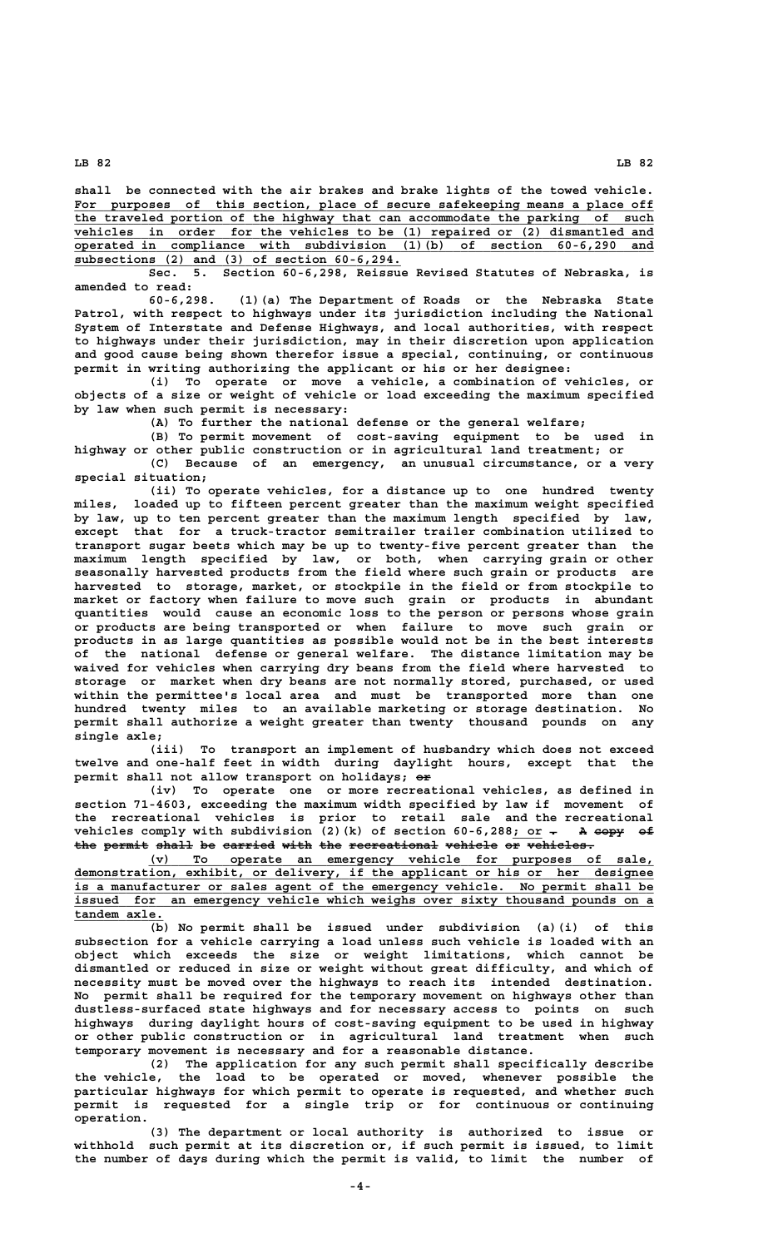**shall be connected with the air brakes and brake lights of the towed vehicle.** For purposes of this section, place of secure safekeeping means a place off  **\_\_\_\_\_\_\_\_\_\_\_\_\_\_\_\_\_\_\_\_\_\_\_\_\_\_\_\_\_\_\_\_\_\_\_\_\_\_\_\_\_\_\_\_\_\_\_\_\_\_\_\_\_\_\_\_\_\_\_\_\_\_\_\_\_\_\_\_\_\_\_\_\_\_\_\_\_\_ the traveled portion of the highway that can accommodate the parking of such** vehicles in order for the vehicles to be (1) repaired or (2) dismantled and<br>operated in compliance with subdivision (1)(b) of section 60-6,290 and compliance with subdivision (1)(b) of section 60-6,290 and  **\_\_\_\_\_\_\_\_\_\_\_\_\_\_\_\_\_\_\_\_\_\_\_\_\_\_\_\_\_\_\_\_\_\_\_\_\_\_\_\_\_\_\_\_ subsections (2) and (3) of section 60-6,294.**

**Sec. 5. Section 60-6,298, Reissue Revised Statutes of Nebraska, is**

**amended to read: 60-6,298. (1)(a) The Department of Roads or the Nebraska State Patrol, with respect to highways under its jurisdiction including the National System of Interstate and Defense Highways, and local authorities, with respect to highways under their jurisdiction, may in their discretion upon application and good cause being shown therefor issue a special, continuing, or continuous permit in writing authorizing the applicant or his or her designee:**

**(i) To operate or move a vehicle, a combination of vehicles, or objects of a size or weight of vehicle or load exceeding the maximum specified by law when such permit is necessary:**

**(A) To further the national defense or the general welfare;**

**(B) To permit movement of cost-saving equipment to be used in highway or other public construction or in agricultural land treatment; or (C) Because of an emergency, an unusual circumstance, or a very**

 **special situation; (ii) To operate vehicles, for a distance up to one hundred twenty miles, loaded up to fifteen percent greater than the maximum weight specified by law, up to ten percent greater than the maximum length specified by law, except that for a truck-tractor semitrailer trailer combination utilized to transport sugar beets which may be up to twenty-five percent greater than the maximum length specified by law, or both, when carrying grain or other seasonally harvested products from the field where such grain or products are harvested to storage, market, or stockpile in the field or from stockpile to market or factory when failure to move such grain or products in abundant quantities would cause an economic loss to the person or persons whose grain or products are being transported or when failure to move such grain or products in as large quantities as possible would not be in the best interests of the national defense or general welfare. The distance limitation may be waived for vehicles when carrying dry beans from the field where harvested to storage or market when dry beans are not normally stored, purchased, or used within the permittee's local area and must be transported more than one hundred twenty miles to an available marketing or storage destination. No permit shall authorize a weight greater than twenty thousand pounds on any**

 **single axle; (iii) To transport an implement of husbandry which does not exceed twelve and one-half feet in width during daylight hours, except that the** permit shall not allow transport on holidays;  $\Theta \hat{r}$ 

**(iv) To operate one or more recreational vehicles, as defined in section 71-4603, exceeding the maximum width specified by law if movement of the recreational vehicles is prior to retail sale and the recreational vehicles comply with subdivision (2)(k) of section 60-6,288; or**  $\div$  **A eopy of** the permit shall be carried with the recreational vehicle or vehicles.

 **\_\_\_\_\_\_\_\_\_\_\_\_\_\_\_\_\_\_\_\_\_\_\_\_\_\_\_\_\_\_\_\_\_\_\_\_\_\_\_\_\_\_\_\_\_\_\_\_\_\_\_\_\_\_\_\_\_\_\_\_\_\_\_\_\_\_\_\_ (v) To operate an emergency vehicle for purposes of sale, \_\_\_\_\_\_\_\_\_\_\_\_\_\_\_\_\_\_\_\_\_\_\_\_\_\_\_\_\_\_\_\_\_\_\_\_\_\_\_\_\_\_\_\_\_\_\_\_\_\_\_\_\_\_\_\_\_\_\_\_\_\_\_\_\_\_\_\_\_\_\_\_\_\_\_\_\_\_ demonstration, exhibit, or delivery, if the applicant or his or her designee \_\_\_\_\_\_\_\_\_\_\_\_\_\_\_\_\_\_\_\_\_\_\_\_\_\_\_\_\_\_\_\_\_\_\_\_\_\_\_\_\_\_\_\_\_\_\_\_\_\_\_\_\_\_\_\_\_\_\_\_\_\_\_\_\_\_\_\_\_\_\_\_\_\_\_\_\_\_ is a manufacturer or sales agent of the emergency vehicle. No permit shall be** issued for an emergency vehicle which weighs over sixty thousand pounds on a  **tandem axle. \_\_\_\_\_\_\_\_\_\_\_\_**

**(b) No permit shall be issued under subdivision (a)(i) of this subsection for a vehicle carrying a load unless such vehicle is loaded with an object which exceeds the size or weight limitations, which cannot be dismantled or reduced in size or weight without great difficulty, and which of necessity must be moved over the highways to reach its intended destination. No permit shall be required for the temporary movement on highways other than dustless-surfaced state highways and for necessary access to points on such highways during daylight hours of cost-saving equipment to be used in highway or other public construction or in agricultural land treatment when such temporary movement is necessary and for a reasonable distance.**

**(2) The application for any such permit shall specifically describe the vehicle, the load to be operated or moved, whenever possible the particular highways for which permit to operate is requested, and whether such permit is requested for a single trip or for continuous or continuing operation.**

**(3) The department or local authority is authorized to issue or withhold such permit at its discretion or, if such permit is issued, to limit the number of days during which the permit is valid, to limit the number of**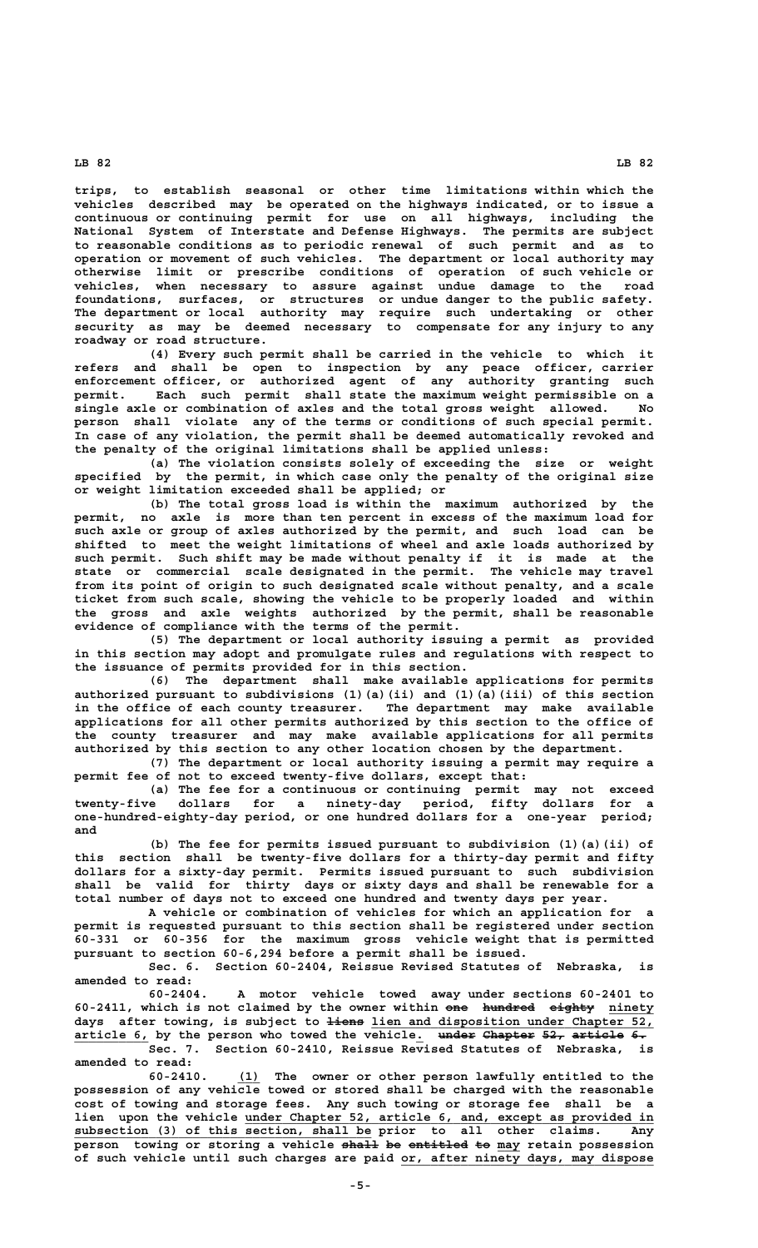**trips, to establish seasonal or other time limitations within which the vehicles described may be operated on the highways indicated, or to issue a continuous or continuing permit for use on all highways, including the National System of Interstate and Defense Highways. The permits are subject to reasonable conditions as to periodic renewal of such permit and as to operation or movement of such vehicles. The department or local authority may otherwise limit or prescribe conditions of operation of such vehicle or vehicles, when necessary to assure against undue damage to the road foundations, surfaces, or structures or undue danger to the public safety. The department or local authority may require such undertaking or other security as may be deemed necessary to compensate for any injury to any roadway or road structure.**

**(4) Every such permit shall be carried in the vehicle to which it refers and shall be open to inspection by any peace officer, carrier enforcement officer, or authorized agent of any authority granting such permit. Each such permit shall state the maximum weight permissible on a single axle or combination of axles and the total gross weight allowed. No person shall violate any of the terms or conditions of such special permit. In case of any violation, the permit shall be deemed automatically revoked and the penalty of the original limitations shall be applied unless:**

**(a) The violation consists solely of exceeding the size or weight specified by the permit, in which case only the penalty of the original size or weight limitation exceeded shall be applied; or**

**(b) The total gross load is within the maximum authorized by the permit, no axle is more than ten percent in excess of the maximum load for such axle or group of axles authorized by the permit, and such load can be shifted to meet the weight limitations of wheel and axle loads authorized by such permit. Such shift may be made without penalty if it is made at the state or commercial scale designated in the permit. The vehicle may travel from its point of origin to such designated scale without penalty, and a scale ticket from such scale, showing the vehicle to be properly loaded and within the gross and axle weights authorized by the permit, shall be reasonable evidence of compliance with the terms of the permit.**

**(5) The department or local authority issuing a permit as provided in this section may adopt and promulgate rules and regulations with respect to the issuance of permits provided for in this section.**

**(6) The department shall make available applications for permits authorized pursuant to subdivisions (1)(a)(ii) and (1)(a)(iii) of this section in the office of each county treasurer. The department may make available applications for all other permits authorized by this section to the office of the county treasurer and may make available applications for all permits authorized by this section to any other location chosen by the department.**

**(7) The department or local authority issuing a permit may require a permit fee of not to exceed twenty-five dollars, except that:**

**(a) The fee for a continuous or continuing permit may not exceed twenty-five dollars for a ninety-day period, fifty dollars for a one-hundred-eighty-day period, or one hundred dollars for a one-year period; and**

**(b) The fee for permits issued pursuant to subdivision (1)(a)(ii) of this section shall be twenty-five dollars for a thirty-day permit and fifty dollars for a sixty-day permit. Permits issued pursuant to such subdivision shall be valid for thirty days or sixty days and shall be renewable for a total number of days not to exceed one hundred and twenty days per year.**

**A vehicle or combination of vehicles for which an application for a permit is requested pursuant to this section shall be registered under section 60-331 or 60-356 for the maximum gross vehicle weight that is permitted pursuant to section 60-6,294 before a permit shall be issued.**

**Sec. 6. Section 60-2404, Reissue Revised Statutes of Nebraska, is amended to read:**

**60-2404. A motor vehicle towed away under sections 60-2401 to** 60-2411, which is not claimed by the owner within one hundred eighty ninety  **————— \_\_\_\_\_\_\_\_\_\_\_\_\_\_\_\_\_\_\_\_\_\_\_\_\_\_\_\_\_\_\_\_\_\_\_\_\_\_ days after towing, is subject to liens lien and disposition under Chapter 52,** article 6, by the person who towed the vehicle<sub>1</sub> under Chapter 52, article 6.

**Sec. 7. Section 60-2410, Reissue Revised Statutes of Nebraska, is amended to read:**

 **\_\_\_ 60-2410. (1) The owner or other person lawfully entitled to the possession of any vehicle towed or stored shall be charged with the reasonable cost of towing and storage fees. Any such towing or storage fee shall be a** lien upon the vehicle under Chapter 52, article 6, and, except as provided in  **\_\_\_\_\_\_\_\_\_\_\_\_\_\_\_\_\_\_\_\_\_\_\_\_\_\_\_\_\_\_\_\_\_\_\_\_\_\_\_\_ subsection (3) of this section, shall be prior to all other claims. Any person towing or storing a vehicle shall be entitled to may retain possession ————— —— ———————— —— \_\_\_ \_\_\_\_\_\_\_\_\_\_\_\_\_\_\_\_\_\_\_\_\_\_\_\_\_\_\_\_\_\_\_\_\_\_ of such vehicle until such charges are paid or, after ninety days, may dispose**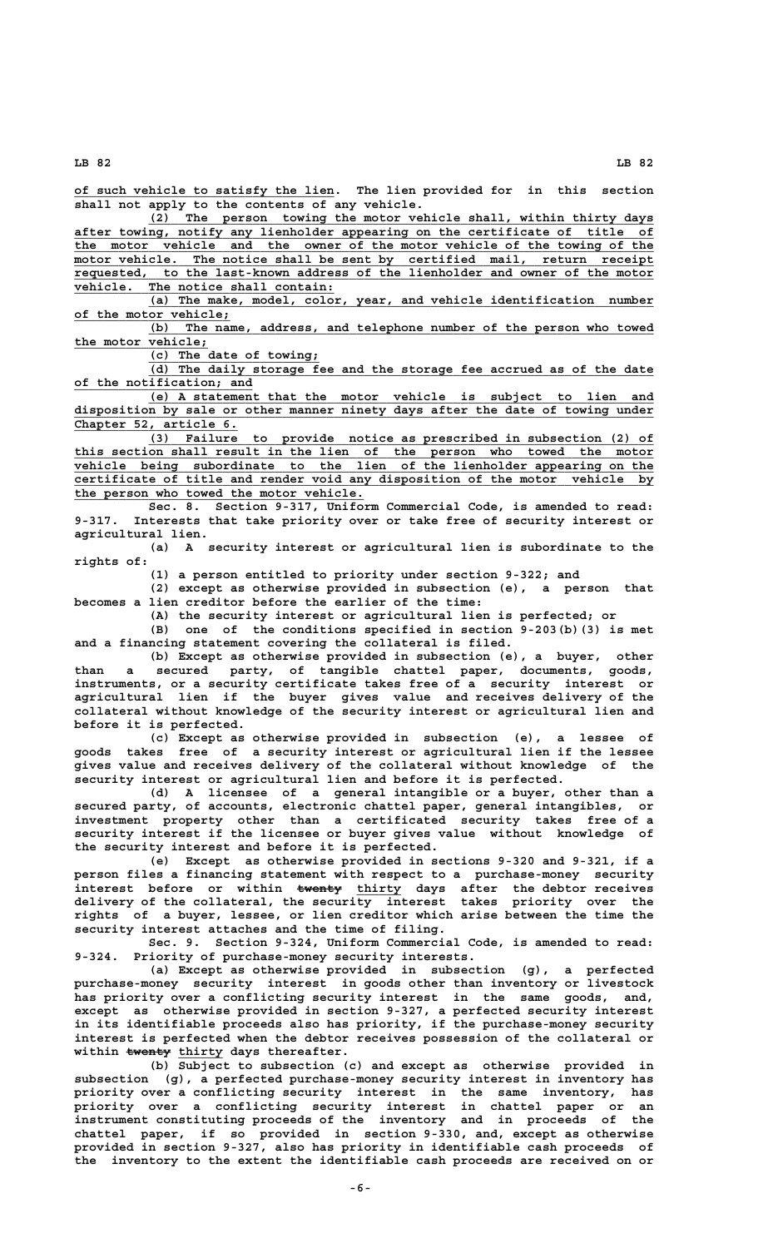**\_\_\_\_\_\_\_\_\_\_\_\_\_\_\_\_\_\_\_\_\_\_\_\_\_\_\_\_\_\_\_\_\_\_\_ of such vehicle to satisfy the lien. The lien provided for in this section shall not apply to the contents of any vehicle.**

 **\_\_\_\_\_\_\_\_\_\_\_\_\_\_\_\_\_\_\_\_\_\_\_\_\_\_\_\_\_\_\_\_\_\_\_\_\_\_\_\_\_\_\_\_\_\_\_\_\_\_\_\_\_\_\_\_\_\_\_\_\_\_\_\_\_\_\_\_ (2) The person towing the motor vehicle shall, within thirty days \_\_\_\_\_\_\_\_\_\_\_\_\_\_\_\_\_\_\_\_\_\_\_\_\_\_\_\_\_\_\_\_\_\_\_\_\_\_\_\_\_\_\_\_\_\_\_\_\_\_\_\_\_\_\_\_\_\_\_\_\_\_\_\_\_\_\_\_\_\_\_\_\_\_\_\_\_\_ after towing, notify any lienholder appearing on the certificate of title of \_\_\_\_\_\_\_\_\_\_\_\_\_\_\_\_\_\_\_\_\_\_\_\_\_\_\_\_\_\_\_\_\_\_\_\_\_\_\_\_\_\_\_\_\_\_\_\_\_\_\_\_\_\_\_\_\_\_\_\_\_\_\_\_\_\_\_\_\_\_\_\_\_\_\_\_\_\_ the motor vehicle and the owner of the motor vehicle of the towing of the** motor vehicle. The notice shall be sent by certified mail, return receipt  **\_\_\_\_\_\_\_\_\_\_\_\_\_\_\_\_\_\_\_\_\_\_\_\_\_\_\_\_\_\_\_\_\_\_\_\_\_\_\_\_\_\_\_\_\_\_\_\_\_\_\_\_\_\_\_\_\_\_\_\_\_\_\_\_\_\_\_\_\_\_\_\_\_\_\_\_\_\_ requested, to the last-known address of the lienholder and owner of the motor \_\_\_\_\_\_\_\_\_\_\_\_\_\_\_\_\_\_\_\_\_\_\_\_\_\_\_\_\_\_\_\_\_\_\_ vehicle. The notice shall contain:**

 **\_\_\_\_\_\_\_\_\_\_\_\_\_\_\_\_\_\_\_\_\_\_\_\_\_\_\_\_\_\_\_\_\_\_\_\_\_\_\_\_\_\_\_\_\_\_\_\_\_\_\_\_\_\_\_\_\_\_\_\_\_\_\_\_\_\_\_\_ (a) The make, model, color, year, and vehicle identification number \_\_\_\_\_\_\_\_\_\_\_\_\_\_\_\_\_\_\_\_\_ of the motor vehicle;**

 **\_\_\_\_\_\_\_\_\_\_\_\_\_\_\_\_\_\_\_\_\_\_\_\_\_\_\_\_\_\_\_\_\_\_\_\_\_\_\_\_\_\_\_\_\_\_\_\_\_\_\_\_\_\_\_\_\_\_\_\_\_\_\_\_\_\_\_\_ (b) The name, address, and telephone number of the person who towed \_\_\_\_\_\_\_\_\_\_\_\_\_\_\_\_\_\_ the motor vehicle;**

 **\_\_\_\_\_\_\_\_\_\_\_\_\_\_\_\_\_\_\_\_\_\_\_ (c) The date of towing;**

 **\_\_\_\_\_\_\_\_\_\_\_\_\_\_\_\_\_\_\_\_\_\_\_\_\_\_\_\_\_\_\_\_\_\_\_\_\_\_\_\_\_\_\_\_\_\_\_\_\_\_\_\_\_\_\_\_\_\_\_\_\_\_\_\_\_\_\_\_ (d) The daily storage fee and the storage fee accrued as of the date \_\_\_\_\_\_\_\_\_\_\_\_\_\_\_\_\_\_\_\_\_\_\_\_ of the notification; and**

 **\_\_\_\_\_\_\_\_\_\_\_\_\_\_\_\_\_\_\_\_\_\_\_\_\_\_\_\_\_\_\_\_\_\_\_\_\_\_\_\_\_\_\_\_\_\_\_\_\_\_\_\_\_\_\_\_\_\_\_\_\_\_\_\_\_\_\_\_ (e) A statement that the motor vehicle is subject to lien and \_\_\_\_\_\_\_\_\_\_\_\_\_\_\_\_\_\_\_\_\_\_\_\_\_\_\_\_\_\_\_\_\_\_\_\_\_\_\_\_\_\_\_\_\_\_\_\_\_\_\_\_\_\_\_\_\_\_\_\_\_\_\_\_\_\_\_\_\_\_\_\_\_\_\_\_\_\_ disposition by sale or other manner ninety days after the date of towing under \_\_\_\_\_\_\_\_\_\_\_\_\_\_\_\_\_\_\_\_\_\_ Chapter 52, article 6.**

 **\_\_\_\_\_\_\_\_\_\_\_\_\_\_\_\_\_\_\_\_\_\_\_\_\_\_\_\_\_\_\_\_\_\_\_\_\_\_\_\_\_\_\_\_\_\_\_\_\_\_\_\_\_\_\_\_\_\_\_\_\_\_\_\_\_\_\_\_ (3) Failure to provide notice as prescribed in subsection (2) of \_\_\_\_\_\_\_\_\_\_\_\_\_\_\_\_\_\_\_\_\_\_\_\_\_\_\_\_\_\_\_\_\_\_\_\_\_\_\_\_\_\_\_\_\_\_\_\_\_\_\_\_\_\_\_\_\_\_\_\_\_\_\_\_\_\_\_\_\_\_\_\_\_\_\_\_\_\_ this section shall result in the lien of the person who towed the motor \_\_\_\_\_\_\_\_\_\_\_\_\_\_\_\_\_\_\_\_\_\_\_\_\_\_\_\_\_\_\_\_\_\_\_\_\_\_\_\_\_\_\_\_\_\_\_\_\_\_\_\_\_\_\_\_\_\_\_\_\_\_\_\_\_\_\_\_\_\_\_\_\_\_\_\_\_\_ vehicle being subordinate to the lien of the lienholder appearing on the** vehicle being subordinate to the lien of the lienholder appearing on the certificate of title and render void any disposition of the motor vehicle by  **\_\_\_\_\_\_\_\_\_\_\_\_\_\_\_\_\_\_\_\_\_\_\_\_\_\_\_\_\_\_\_\_\_\_\_\_\_\_\_ the person who towed the motor vehicle.**

> **Sec. 8. Section 9-317, Uniform Commercial Code, is amended to read: 9-317. Interests that take priority over or take free of security interest or agricultural lien.**

> **(a) A security interest or agricultural lien is subordinate to the rights of:**

**(1) a person entitled to priority under section 9-322; and**

**(2) except as otherwise provided in subsection (e), a person that becomes a lien creditor before the earlier of the time:**

**(A) the security interest or agricultural lien is perfected; or (B) one of the conditions specified in section 9-203(b)(3) is met and a financing statement covering the collateral is filed.**

**(b) Except as otherwise provided in subsection (e), a buyer, other than a secured party, of tangible chattel paper, documents, goods, instruments, or a security certificate takes free of a security interest or agricultural lien if the buyer gives value and receives delivery of the collateral without knowledge of the security interest or agricultural lien and before it is perfected.**

**(c) Except as otherwise provided in subsection (e), a lessee of goods takes free of a security interest or agricultural lien if the lessee gives value and receives delivery of the collateral without knowledge of the security interest or agricultural lien and before it is perfected.**

**(d) A licensee of a general intangible or a buyer, other than a secured party, of accounts, electronic chattel paper, general intangibles, or investment property other than a certificated security takes free of a security interest if the licensee or buyer gives value without knowledge of the security interest and before it is perfected.**

**(e) Except as otherwise provided in sections 9-320 and 9-321, if a person files a financing statement with respect to a purchase-money security —————— \_\_\_\_\_\_ interest before or within twenty thirty days after the debtor receives delivery of the collateral, the security interest takes priority over the rights of a buyer, lessee, or lien creditor which arise between the time the security interest attaches and the time of filing.**

**Sec. 9. Section 9-324, Uniform Commercial Code, is amended to read: 9-324. Priority of purchase-money security interests.**

**(a) Except as otherwise provided in subsection (g), a perfected purchase-money security interest in goods other than inventory or livestock has priority over a conflicting security interest in the same goods, and, except as otherwise provided in section 9-327, a perfected security interest in its identifiable proceeds also has priority, if the purchase-money security interest is perfected when the debtor receives possession of the collateral or —————— \_\_\_\_\_\_ within twenty thirty days thereafter.**

**(b) Subject to subsection (c) and except as otherwise provided in subsection (g), a perfected purchase-money security interest in inventory has priority over a conflicting security interest in the same inventory, has priority over a conflicting security interest in chattel paper or an instrument constituting proceeds of the inventory and in proceeds of the chattel paper, if so provided in section 9-330, and, except as otherwise provided in section 9-327, also has priority in identifiable cash proceeds of the inventory to the extent the identifiable cash proceeds are received on or**